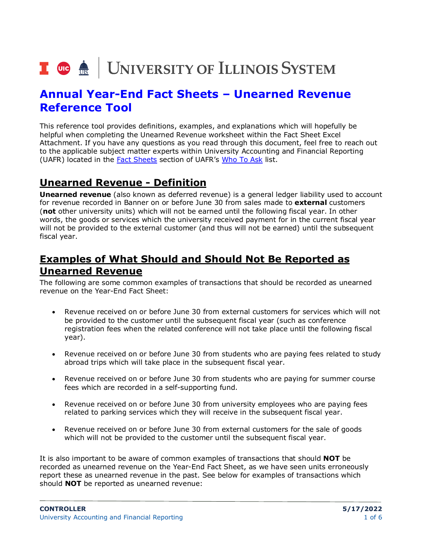

# **Annual Year-End Fact Sheets – Unearned Revenue Reference Tool**

This reference tool provides definitions, examples, and explanations which will hopefully be helpful when completing the Unearned Revenue worksheet within the Fact Sheet Excel Attachment. If you have any questions as you read through this document, feel free to reach out to the applicable subject matter experts within University Accounting and Financial Reporting (UAFR) located in the [Fact Sheets](https://www.obfs.uillinois.edu/accounting-financial-reporting/who-to-ask/types-questions#fact-sheets) section of UAFR's [Who To Ask](https://www.obfs.uillinois.edu/accounting-financial-reporting/who-to-ask/types-questions) list.

## **Unearned Revenue - Definition**

**Unearned revenue** (also known as deferred revenue) is a general ledger liability used to account for revenue recorded in Banner on or before June 30 from sales made to **external** customers (**not** other university units) which will not be earned until the following fiscal year. In other words, the goods or services which the university received payment for in the current fiscal year will not be provided to the external customer (and thus will not be earned) until the subsequent fiscal year.

# **Examples of What Should and Should Not Be Reported as Unearned Revenue**

The following are some common examples of transactions that should be recorded as unearned revenue on the Year-End Fact Sheet:

- Revenue received on or before June 30 from external customers for services which will not be provided to the customer until the subsequent fiscal year (such as conference registration fees when the related conference will not take place until the following fiscal year).
- Revenue received on or before June 30 from students who are paying fees related to study abroad trips which will take place in the subsequent fiscal year.
- Revenue received on or before June 30 from students who are paying for summer course fees which are recorded in a self-supporting fund.
- Revenue received on or before June 30 from university employees who are paying fees related to parking services which they will receive in the subsequent fiscal year.
- Revenue received on or before June 30 from external customers for the sale of goods which will not be provided to the customer until the subsequent fiscal year.

It is also important to be aware of common examples of transactions that should **NOT** be recorded as unearned revenue on the Year-End Fact Sheet, as we have seen units erroneously report these as unearned revenue in the past. See below for examples of transactions which should **NOT** be reported as unearned revenue: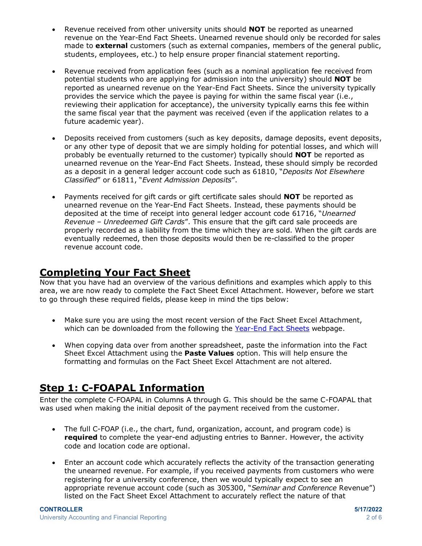- Revenue received from other university units should **NOT** be reported as unearned revenue on the Year-End Fact Sheets. Unearned revenue should only be recorded for sales made to **external** customers (such as external companies, members of the general public, students, employees, etc.) to help ensure proper financial statement reporting.
- Revenue received from application fees (such as a nominal application fee received from potential students who are applying for admission into the university) should **NOT** be reported as unearned revenue on the Year-End Fact Sheets. Since the university typically provides the service which the payee is paying for within the same fiscal year (i.e., reviewing their application for acceptance), the university typically earns this fee within the same fiscal year that the payment was received (even if the application relates to a future academic year).
- Deposits received from customers (such as key deposits, damage deposits, event deposits, or any other type of deposit that we are simply holding for potential losses, and which will probably be eventually returned to the customer) typically should **NOT** be reported as unearned revenue on the Year-End Fact Sheets. Instead, these should simply be recorded as a deposit in a general ledger account code such as 61810, "*Deposits Not Elsewhere Classified*" or 61811, "*Event Admission Deposits*".
- Payments received for gift cards or gift certificate sales should **NOT** be reported as unearned revenue on the Year-End Fact Sheets. Instead, these payments should be deposited at the time of receipt into general ledger account code 61716, "*Unearned Revenue – Unredeemed Gift Cards*". This ensure that the gift card sale proceeds are properly recorded as a liability from the time which they are sold. When the gift cards are eventually redeemed, then those deposits would then be re-classified to the proper revenue account code.

## **Completing Your Fact Sheet**

Now that you have had an overview of the various definitions and examples which apply to this area, we are now ready to complete the Fact Sheet Excel Attachment. However, before we start to go through these required fields, please keep in mind the tips below:

- Make sure you are using the most recent version of the Fact Sheet Excel Attachment, which can be downloaded from the following the [Year-End Fact Sheets](https://www.obfs.uillinois.edu/accounting-financial-reporting/year-end-procedures/fact-sheets/) webpage.
- When copying data over from another spreadsheet, paste the information into the Fact Sheet Excel Attachment using the **Paste Values** option. This will help ensure the formatting and formulas on the Fact Sheet Excel Attachment are not altered.

# **Step 1: C-FOAPAL Information**

Enter the complete C-FOAPAL in Columns A through G. This should be the same C-FOAPAL that was used when making the initial deposit of the payment received from the customer.

- The full C-FOAP (i.e., the chart, fund, organization, account, and program code) is **required** to complete the year-end adjusting entries to Banner. However, the activity code and location code are optional.
- Enter an account code which accurately reflects the activity of the transaction generating the unearned revenue. For example, if you received payments from customers who were registering for a university conference, then we would typically expect to see an appropriate revenue account code (such as 305300, "*Seminar and Conference* Revenue") listed on the Fact Sheet Excel Attachment to accurately reflect the nature of that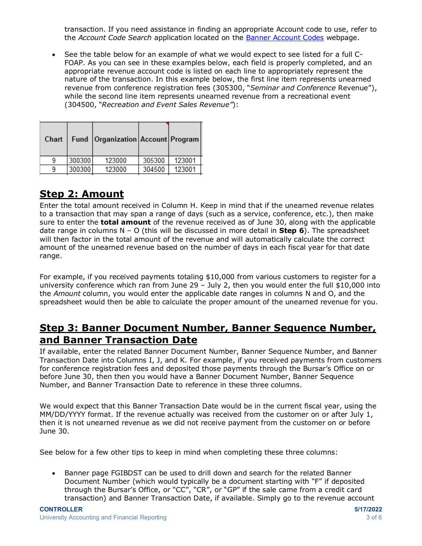transaction. If you need assistance in finding an appropriate Account code to use, refer to the *Account Code Search* application located on the [Banner Account Codes](https://www.obfs.uillinois.edu/accounting-financial-reporting/banner-account-codes/) webpage.

• See the table below for an example of what we would expect to see listed for a full C-FOAP. As you can see in these examples below, each field is properly completed, and an appropriate revenue account code is listed on each line to appropriately represent the nature of the transaction. In this example below, the first line item represents unearned revenue from conference registration fees (305300, "*Seminar and Conference* Revenue"), while the second line item represents unearned revenue from a recreational event (304500, "*Recreation and Event Sales Revenue"*):

|        | 123000 | 305300 | 123001                                  |
|--------|--------|--------|-----------------------------------------|
| 300300 | 123000 | 304500 | 123001                                  |
|        |        | 300300 | Fund   Organization   Account   Program |

# **Step 2: Amount**

Enter the total amount received in Column H. Keep in mind that if the unearned revenue relates to a transaction that may span a range of days (such as a service, conference, etc.), then make sure to enter the **total amount** of the revenue received as of June 30, along with the applicable date range in columns N – O (this will be discussed in more detail in **Step 6**). The spreadsheet will then factor in the total amount of the revenue and will automatically calculate the correct amount of the unearned revenue based on the number of days in each fiscal year for that date range.

For example, if you received payments totaling \$10,000 from various customers to register for a university conference which ran from June 29 – July 2, then you would enter the full \$10,000 into the *Amount* column, you would enter the applicable date ranges in columns N and O, and the spreadsheet would then be able to calculate the proper amount of the unearned revenue for you.

#### **Step 3: Banner Document Number, Banner Sequence Number, and Banner Transaction Date**

If available, enter the related Banner Document Number, Banner Sequence Number, and Banner Transaction Date into Columns I, J, and K. For example, if you received payments from customers for conference registration fees and deposited those payments through the Bursar's Office on or before June 30, then then you would have a Banner Document Number, Banner Sequence Number, and Banner Transaction Date to reference in these three columns.

We would expect that this Banner Transaction Date would be in the current fiscal year, using the MM/DD/YYYY format. If the revenue actually was received from the customer on or after July 1, then it is not unearned revenue as we did not receive payment from the customer on or before June 30.

See below for a few other tips to keep in mind when completing these three columns:

• Banner page FGIBDST can be used to drill down and search for the related Banner Document Number (which would typically be a document starting with "F" if deposited through the Bursar's Office, or "CC", "CR", or "GP" if the sale came from a credit card transaction) and Banner Transaction Date, if available. Simply go to the revenue account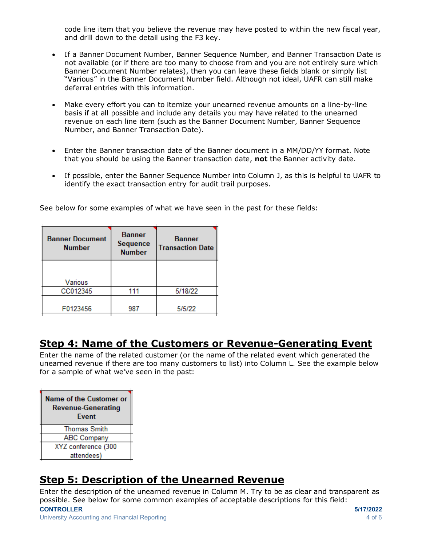code line item that you believe the revenue may have posted to within the new fiscal year, and drill down to the detail using the F3 key.

- If a Banner Document Number, Banner Sequence Number, and Banner Transaction Date is not available (or if there are too many to choose from and you are not entirely sure which Banner Document Number relates), then you can leave these fields blank or simply list "Various" in the Banner Document Number field. Although not ideal, UAFR can still make deferral entries with this information.
- Make every effort you can to itemize your unearned revenue amounts on a line-by-line basis if at all possible and include any details you may have related to the unearned revenue on each line item (such as the Banner Document Number, Banner Sequence Number, and Banner Transaction Date).
- Enter the Banner transaction date of the Banner document in a MM/DD/YY format. Note that you should be using the Banner transaction date, **not** the Banner activity date.
- If possible, enter the Banner Sequence Number into Column J, as this is helpful to UAFR to identify the exact transaction entry for audit trail purposes.

| <b>Banner Document</b><br><b>Number</b> | <b>Banner</b><br><b>Sequence</b><br><b>Number</b> | <b>Banner</b><br><b>Transaction Date</b> |
|-----------------------------------------|---------------------------------------------------|------------------------------------------|
| Various                                 |                                                   |                                          |
| CC012345                                | 111                                               | 5/18/22                                  |
| F0123456                                | 987                                               | 5/5/22                                   |

See below for some examples of what we have seen in the past for these fields:

# **Step 4: Name of the Customers or Revenue-Generating Event**

Enter the name of the related customer (or the name of the related event which generated the unearned revenue if there are too many customers to list) into Column L. See the example below for a sample of what we've seen in the past:

| Name of the Customer or<br><b>Revenue-Generating</b><br><b>Fvent</b> |  |  |
|----------------------------------------------------------------------|--|--|
| <b>Thomas Smith</b>                                                  |  |  |
| <b>ABC Company</b>                                                   |  |  |
| XYZ conference (300                                                  |  |  |
| attendees)                                                           |  |  |

# **Step 5: Description of the Unearned Revenue**

**CONTROLLER 5/17/2022** Enter the description of the unearned revenue in Column M. Try to be as clear and transparent as possible. See below for some common examples of acceptable descriptions for this field: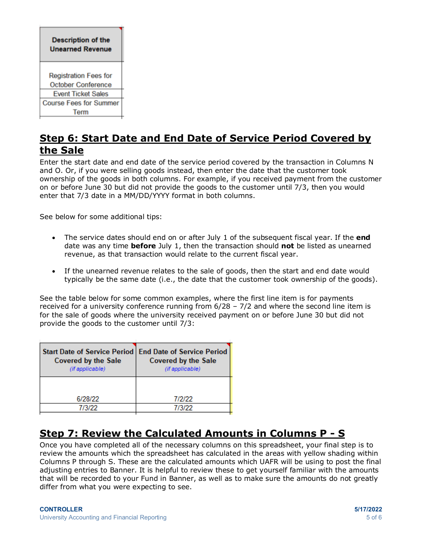| <b>Description of the</b><br><b>Unearned Revenue</b> |  |  |
|------------------------------------------------------|--|--|
| <b>Registration Fees for</b><br>October Conference   |  |  |
| <b>Event Ticket Sales</b>                            |  |  |
| <b>Course Fees for Summer</b><br>Term                |  |  |
|                                                      |  |  |

## **Step 6: Start Date and End Date of Service Period Covered by the Sale**

Enter the start date and end date of the service period covered by the transaction in Columns N and O. Or, if you were selling goods instead, then enter the date that the customer took ownership of the goods in both columns. For example, if you received payment from the customer on or before June 30 but did not provide the goods to the customer until 7/3, then you would enter that 7/3 date in a MM/DD/YYYY format in both columns.

See below for some additional tips:

- The service dates should end on or after July 1 of the subsequent fiscal year. If the **end** date was any time **before** July 1, then the transaction should **not** be listed as unearned revenue, as that transaction would relate to the current fiscal year.
- If the unearned revenue relates to the sale of goods, then the start and end date would typically be the same date (i.e., the date that the customer took ownership of the goods).

See the table below for some common examples, where the first line item is for payments received for a university conference running from  $6/28 - 7/2$  and where the second line item is for the sale of goods where the university received payment on or before June 30 but did not provide the goods to the customer until 7/3:

| Start Date of Service Period   End Date of Service Period<br><b>Covered by the Sale</b><br>(if applicable) | <b>Covered by the Sale</b><br>(if applicable) |
|------------------------------------------------------------------------------------------------------------|-----------------------------------------------|
| 6/28/22                                                                                                    | 712122                                        |
| 7/3/22                                                                                                     | 7/3/22                                        |

# **Step 7: Review the Calculated Amounts in Columns P - S**

Once you have completed all of the necessary columns on this spreadsheet, your final step is to review the amounts which the spreadsheet has calculated in the areas with yellow shading within Columns P through S. These are the calculated amounts which UAFR will be using to post the final adjusting entries to Banner. It is helpful to review these to get yourself familiar with the amounts that will be recorded to your Fund in Banner, as well as to make sure the amounts do not greatly differ from what you were expecting to see.